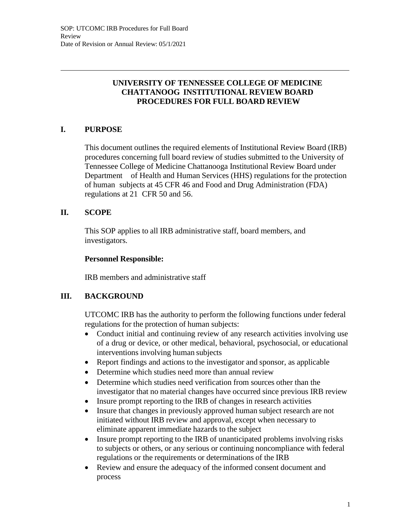## **UNIVERSITY OF TENNESSEE COLLEGE OF MEDICINE CHATTANOOG INSTITUTIONAL REVIEW BOARD PROCEDURES FOR FULL BOARD REVIEW**

# **I. PURPOSE**

This document outlines the required elements of Institutional Review Board (IRB) procedures concerning full board review of studies submitted to the University of Tennessee College of Medicine Chattanooga Institutional Review Board under Department of Health and Human Services (HHS) regulations for the protection of human subjects at 45 CFR 46 and Food and Drug Administration (FDA) regulations at 21 CFR 50 and 56.

### **II. SCOPE**

This SOP applies to all IRB administrative staff, board members, and investigators.

#### **Personnel Responsible:**

IRB members and administrative staff

## **III. BACKGROUND**

UTCOMC IRB has the authority to perform the following functions under federal regulations for the protection of human subjects:

- Conduct initial and continuing review of any research activities involving use of a drug or device, or other medical, behavioral, psychosocial, or educational interventions involving human subjects
- Report findings and actions to the investigator and sponsor, as applicable
- Determine which studies need more than annual review
- Determine which studies need verification from sources other than the investigator that no material changes have occurred since previous IRB review
- Insure prompt reporting to the IRB of changes in research activities
- Insure that changes in previously approved human subject research are not initiated without IRB review and approval, except when necessary to eliminate apparent immediate hazards to the subject
- Insure prompt reporting to the IRB of unanticipated problems involving risks to subjects or others, or any serious or continuing noncompliance with federal regulations or the requirements or determinations of the IRB
- Review and ensure the adequacy of the informed consent document and process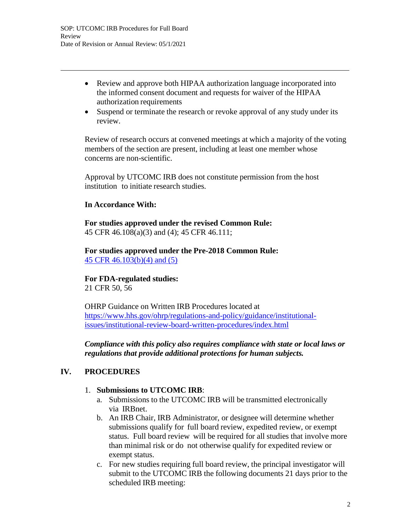- Review and approve both HIPAA authorization language incorporated into the informed consent document and requests for waiver of the HIPAA authorization requirements
- Suspend or terminate the research or revoke approval of any study under its review.

Review of research occurs at convened meetings at which a majority of the voting members of the section are present, including at least one member whose concerns are non-scientific.

Approval by UTCOMC IRB does not constitute permission from the host institution to initiate research studies.

### **In Accordance With:**

**For studies approved under the revised Common Rule:** 45 CFR 46.108(a)(3) and (4); 45 CFR 46.111;

**For studies approved under the Pre-2018 Common Rule:** 45 CFR 46.103(b)(4) and (5)

**For FDA-regulated studies:** 21 CFR 50, 56

OHRP Guidance on Written IRB Procedures located at https:/[/www.hhs.gov/ohrp/regulations-and-policy/guidance/institutional](http://www.hhs.gov/ohrp/regulations-and-policy/guidance/institutional-)issues/institutional-review-board-written-procedures/index.html

*Compliance with this policy also requires compliance with state or local laws or regulations that provide additional protections for human subjects.*

# **IV. PROCEDURES**

## 1. **Submissions to UTCOMC IRB**:

- a. Submissions to the UTCOMC IRB will be transmitted electronically via IRBnet.
- b. An IRB Chair, IRB Administrator, or designee will determine whether submissions qualify for full board review, expedited review, or exempt status. Full board review will be required for all studies that involve more than minimal risk or do not otherwise qualify for expedited review or exempt status.
- c. For new studies requiring full board review, the principal investigator will submit to the UTCOMC IRB the following documents 21 days prior to the scheduled IRB meeting: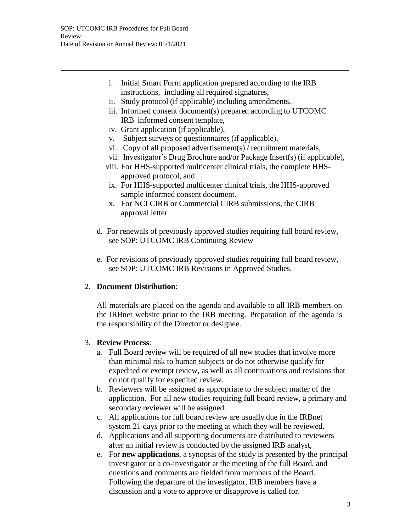- i. Initial Smart Form application prepared according to the IRB instructions, including all required signatures,
- ii. Study protocol (if applicable) including amendments,
- iii. Informed consent document(s) prepared according to UTCOMC IRB informed consent template,
- iv. Grant application (if applicable),
- v. Subject surveys or questionnaires (if applicable),
- vi. Copy of all proposed advertisement(s) / recruitment materials,
- vii. Investigator's Drug Brochure and/or Package Insert(s) (if applicable),
- viii. For HHS-supported multicenter clinical trials, the complete HHSapproved protocol, and
- ix. For HHS-supported multicenter clinical trials, the HHS-approved sample informed consent document.
- x. For NCI CIRB or Commercial CIRB submissions, the CIRB approval letter
- d. For renewals of previously approved studies requiring full board review, see SOP: UTCOMC IRB Continuing Review
- e. For revisions of previously approved studies requiring full board review, see SOP: UTCOMC IRB Revisions in Approved Studies.

## 2. **Document Distribution**:

All materials are placed on the agenda and available to all IRB members on the IRBnet website prior to the IRB meeting. Preparation of the agenda is the responsibility of the Director or designee.

#### 3. **Review Process**:

- a. Full Board review will be required of all new studies that involve more than minimal risk to human subjects or do not otherwise qualify for expedited or exempt review, as well as all continuations and revisions that do not qualify for expedited review.
- b. Reviewers will be assigned as appropriate to the subject matter of the application. For all new studies requiring full board review, a primary and secondary reviewer will be assigned.
- c. All applications for full board review are usually due in the IRBnet system 21 days prior to the meeting at which they will be reviewed.
- d. Applications and all supporting documents are distributed to reviewers after an initial review is conducted by the assigned IRB analyst,
- e. For **new applications**, a synopsis of the study is presented by the principal investigator or a co-investigator at the meeting of the full Board, and questions and comments are fielded from members of the Board. Following the departure of the investigator, IRB members have a discussion and a vote to approve or disapprove is called for.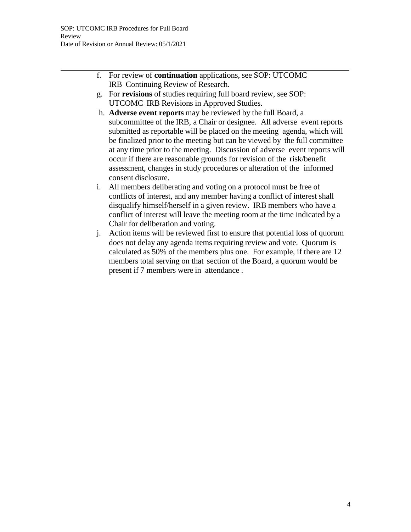- f. For review of **continuation** applications, see SOP: UTCOMC IRB Continuing Review of Research.
- g. For **revisions** of studies requiring full board review, see SOP: UTCOMC IRB Revisions in Approved Studies.
- h. **Adverse event reports** may be reviewed by the full Board, a subcommittee of the IRB, a Chair or designee. All adverse event reports submitted as reportable will be placed on the meeting agenda, which will be finalized prior to the meeting but can be viewed by the full committee at any time prior to the meeting. Discussion of adverse event reports will occur if there are reasonable grounds for revision of the risk/benefit assessment, changes in study procedures or alteration of the informed consent disclosure.
- i. All members deliberating and voting on a protocol must be free of conflicts of interest, and any member having a conflict of interest shall disqualify himself/herself in a given review. IRB members who have a conflict of interest will leave the meeting room at the time indicated by a Chair for deliberation and voting.
- j. Action items will be reviewed first to ensure that potential loss of quorum does not delay any agenda items requiring review and vote. Quorum is calculated as 50% of the members plus one. For example, if there are 12 members total serving on that section of the Board, a quorum would be present if 7 members were in attendance .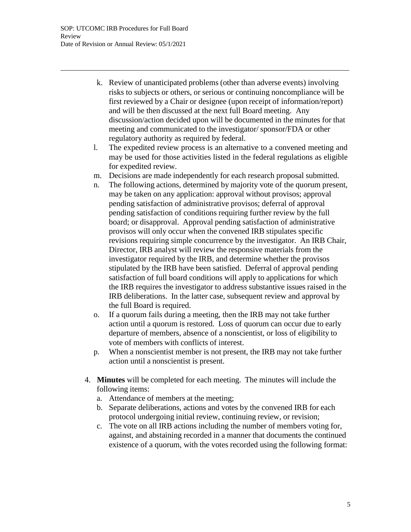- k. Review of unanticipated problems (other than adverse events) involving risks to subjects or others, or serious or continuing noncompliance will be first reviewed by a Chair or designee (upon receipt of information/report) and will be then discussed at the next full Board meeting. Any discussion/action decided upon will be documented in the minutes for that meeting and communicated to the investigator/ sponsor/FDA or other regulatory authority as required by federal.
- l. The expedited review process is an alternative to a convened meeting and may be used for those activities listed in the federal regulations as eligible for expedited review.
- m. Decisions are made independently for each research proposal submitted.
- n. The following actions, determined by majority vote of the quorum present, may be taken on any application: approval without provisos; approval pending satisfaction of administrative provisos; deferral of approval pending satisfaction of conditions requiring further review by the full board; or disapproval. Approval pending satisfaction of administrative provisos will only occur when the convened IRB stipulates specific revisions requiring simple concurrence by the investigator. An IRB Chair, Director, IRB analyst will review the responsive materials from the investigator required by the IRB, and determine whether the provisos stipulated by the IRB have been satisfied. Deferral of approval pending satisfaction of full board conditions will apply to applications for which the IRB requires the investigator to address substantive issues raised in the IRB deliberations. In the latter case, subsequent review and approval by the full Board is required.
- o. If a quorum fails during a meeting, then the IRB may not take further action until a quorum is restored. Loss of quorum can occur due to early departure of members, absence of a nonscientist, or loss of eligibility to vote of members with conflicts of interest.
- p. When a nonscientist member is not present, the IRB may not take further action until a nonscientist is present.
- 4. **Minutes** will be completed for each meeting. The minutes will include the following items:
	- a. Attendance of members at the meeting;
	- b. Separate deliberations, actions and votes by the convened IRB for each protocol undergoing initial review, continuing review, or revision;
	- c. The vote on all IRB actions including the number of members voting for, against, and abstaining recorded in a manner that documents the continued existence of a quorum, with the votes recorded using the following format: